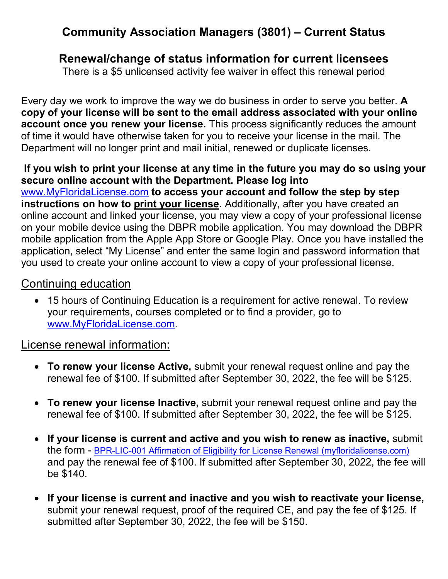# **Community Association Managers (3801) – Current Status**

## **Renewal/change of status information for current licensees**

There is a \$5 unlicensed activity fee waiver in effect this renewal period

Every day we work to improve the way we do business in order to serve you better. **A copy of your license will be sent to the email address associated with your online account once you renew your license.** This process significantly reduces the amount of time it would have otherwise taken for you to receive your license in the mail. The Department will no longer print and mail initial, renewed or duplicate licenses.

**If you wish to print your license at any time in the future you may do so using your secure online account with the Department. Please log into**  [www.MyFloridaLicense.com](http://www.myfloridalicense.com/) **to access your account and follow the step by step instructions on how to print your license.** Additionally, after you have created an online account and linked your license, you may view a copy of your professional license on your mobile device using the DBPR mobile application. You may download the DBPR mobile application from the Apple App Store or Google Play. Once you have installed the application, select "My License" and enter the same login and password information that you used to create your online account to view a copy of your professional license.

### Continuing education

• 15 hours of Continuing Education is a requirement for active renewal. To review your requirements, courses completed or to find a provider, go to [www.MyFloridaLicense.com.](http://www.myfloridalicense.com/)

### License renewal information:

- **To renew your license Active,** submit your renewal request online and pay the renewal fee of \$100. If submitted after September 30, 2022, the fee will be \$125.
- **To renew your license Inactive,** submit your renewal request online and pay the renewal fee of \$100. If submitted after September 30, 2022, the fee will be \$125.
- **If your license is current and active and you wish to renew as inactive,** submit the form - [BPR-LIC-001 Affirmation of Eligibility for License Renewal \(myfloridalicense.com\)](http://www.myfloridalicense.com/dbpr/pro/documents/LIC001_Affirmation_of_Eligibility_for_License_Renewal.pdf) and pay the renewal fee of \$100. If submitted after September 30, 2022, the fee will be \$140.
- **If your license is current and inactive and you wish to reactivate your license,**  submit your renewal request, proof of the required CE, and pay the fee of \$125. If submitted after September 30, 2022, the fee will be \$150.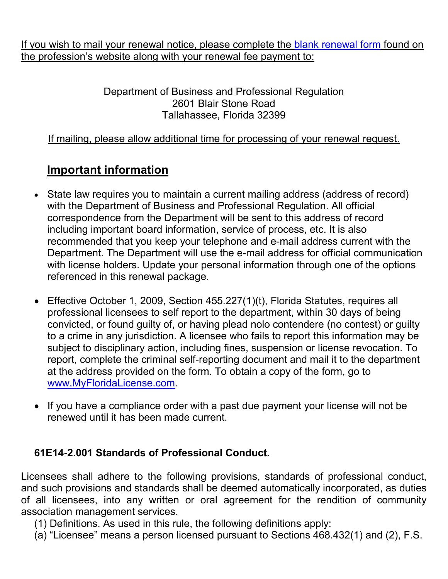If you wish to mail your renewal notice, please complete the [blank renewal](http://www.myfloridalicense.com/dbpr/pro/documents/LIC001_Affirmation_of_Eligibility_for_License_Renewal.pdf) form found on the profession's website along with your renewal fee payment to:

> Department of Business and Professional Regulation 2601 Blair Stone Road Tallahassee, Florida 32399

#### If mailing, please allow additional time for processing of your renewal request.

## **Important information**

- State law requires you to maintain a current mailing address (address of record) with the Department of Business and Professional Regulation. All official correspondence from the Department will be sent to this address of record including important board information, service of process, etc. It is also recommended that you keep your telephone and e-mail address current with the Department. The Department will use the e-mail address for official communication with license holders. Update your personal information through one of the options referenced in this renewal package.
- Effective October 1, 2009, Section 455.227(1)(t), Florida Statutes, requires all professional licensees to self report to the department, within 30 days of being convicted, or found guilty of, or having plead nolo contendere (no contest) or guilty to a crime in any jurisdiction. A licensee who fails to report this information may be subject to disciplinary action, including fines, suspension or license revocation. To report, complete the criminal self-reporting document and mail it to the department at the address provided on the form. To obtain a copy of the form, go to [www.MyFloridaLicense.com.](http://www.myfloridalicense.com/)
- If you have a compliance order with a past due payment your license will not be renewed until it has been made current.

#### **61E14-2.001 Standards of Professional Conduct.**

Licensees shall adhere to the following provisions, standards of professional conduct, and such provisions and standards shall be deemed automatically incorporated, as duties of all licensees, into any written or oral agreement for the rendition of community association management services.

(1) Definitions. As used in this rule, the following definitions apply:

(a) "Licensee" means a person licensed pursuant to Sections 468.432(1) and (2), F.S.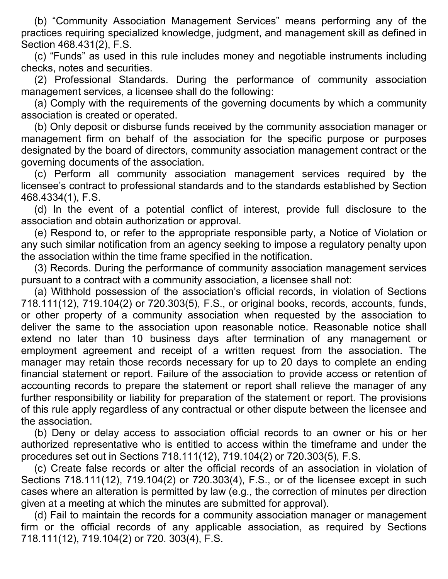(b) "Community Association Management Services" means performing any of the practices requiring specialized knowledge, judgment, and management skill as defined in Section 468.431(2), F.S.

(c) "Funds" as used in this rule includes money and negotiable instruments including checks, notes and securities.

(2) Professional Standards. During the performance of community association management services, a licensee shall do the following:

(a) Comply with the requirements of the governing documents by which a community association is created or operated.

(b) Only deposit or disburse funds received by the community association manager or management firm on behalf of the association for the specific purpose or purposes designated by the board of directors, community association management contract or the governing documents of the association.

(c) Perform all community association management services required by the licensee's contract to professional standards and to the standards established by Section 468.4334(1), F.S.

(d) In the event of a potential conflict of interest, provide full disclosure to the association and obtain authorization or approval.

(e) Respond to, or refer to the appropriate responsible party, a Notice of Violation or any such similar notification from an agency seeking to impose a regulatory penalty upon the association within the time frame specified in the notification.

(3) Records. During the performance of community association management services pursuant to a contract with a community association, a licensee shall not:

(a) Withhold possession of the association's official records, in violation of Sections 718.111(12), 719.104(2) or 720.303(5), F.S., or original books, records, accounts, funds, or other property of a community association when requested by the association to deliver the same to the association upon reasonable notice. Reasonable notice shall extend no later than 10 business days after termination of any management or employment agreement and receipt of a written request from the association. The manager may retain those records necessary for up to 20 days to complete an ending financial statement or report. Failure of the association to provide access or retention of accounting records to prepare the statement or report shall relieve the manager of any further responsibility or liability for preparation of the statement or report. The provisions of this rule apply regardless of any contractual or other dispute between the licensee and the association.

(b) Deny or delay access to association official records to an owner or his or her authorized representative who is entitled to access within the timeframe and under the procedures set out in Sections 718.111(12), 719.104(2) or 720.303(5), F.S.

(c) Create false records or alter the official records of an association in violation of Sections 718.111(12), 719.104(2) or 720.303(4), F.S., or of the licensee except in such cases where an alteration is permitted by law (e.g., the correction of minutes per direction given at a meeting at which the minutes are submitted for approval).

(d) Fail to maintain the records for a community association manager or management firm or the official records of any applicable association, as required by Sections 718.111(12), 719.104(2) or 720. 303(4), F.S.